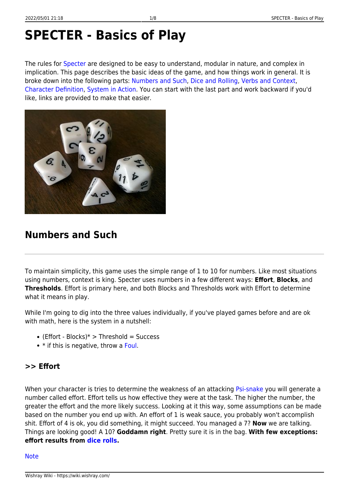# **SPECTER - Basics of Play**

The rules for [Specter](https://wiki.wishray.com/doku.php?id=specter) are designed to be easy to understand, modular in nature, and complex in implication. This page describes the basic ideas of the game, and how things work in general. It is broke down into the following parts: [Numbers and Such,](#page-0-0) [Dice and Rolling,](#page--1-0) [Verbs and Context](#page-4-0), [Character Definition](#page-5-0), [System in Action](#page-7-0). You can start with the last part and work backward if you'd like, links are provided to make that easier.



# <span id="page-0-0"></span>**Numbers and Such**

To maintain simplicity, this game uses the simple range of 1 to 10 for numbers. Like most situations using numbers, context is king. Specter uses numbers in a few different ways: **Effort**, **Blocks**, and **Thresholds**. Effort is primary here, and both Blocks and Thresholds work with Effort to determine what it means in play.

While I'm going to dig into the three values individually, if you've played games before and are ok with math, here is the system in a nutshell:

- $\bullet$  (Effort Blocks)\*  $>$  Threshold = Success
- $\bullet$  \* if this is negative, throw a [Foul](https://wiki.wishray.com/doku.php?id=specter:practice#foul).

## <span id="page-0-1"></span>**>> Effort**

When your character is tries to determine the weakness of an attacking [Psi-snake](https://wiki.wishray.com/doku.php?id=specter:10k80#monsters) you will generate a number called effort. Effort tells us how effective they were at the task. The higher the number, the greater the effort and the more likely success. Looking at it this way, some assumptions can be made based on the number you end up with. An effort of 1 is weak sauce, you probably won't accomplish shit. Effort of 4 is ok, you did something, it might succeed. You managed a 7? **Now** we are talking. Things are looking good! A 10? **Goddamn right**. Pretty sure it is in the bag. **With few exceptions: effort results from [dice rolls.](#page-2-0)**

#### **[Note](#page--1-0)**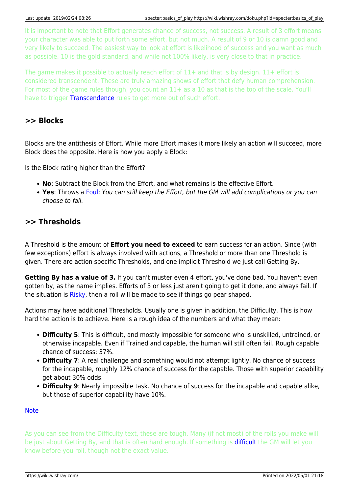It is important to note that Effort generates chance of success, not success. A result of 3 effort means your character was able to put forth some effort, but not much. A result of 9 or 10 is damn good and very likely to succeed. The easiest way to look at effort is likelihood of success and you want as much as possible. 10 is the gold standard, and while not 100% likely, is very close to that in practice.

The game makes it possible to actually reach effort of  $11+$  and that is by design.  $11+$  effort is considered transcendent. These are truly amazing shows of effort that defy human comprehension. For most of the game rules though, you count an 11+ as a 10 as that is the top of the scale. You'll have to trigger [Transcendence](https://wiki.wishray.com/doku.php?id=specter:practice#transcendence) rules to get more out of such effort.

#### **>> Blocks**

Blocks are the antithesis of Effort. While more Effort makes it more likely an action will succeed, more Block does the opposite. Here is how you apply a Block:

Is the Block rating higher than the Effort?

- **No**: Subtract the Block from the Effort, and what remains is the effective Effort.
- **Yes**: Throws a [Foul:](https://wiki.wishray.com/doku.php?id=specter:practice#foul) You can still keep the Effort, but the GM will add complications or you can choose to fail.

#### **>> Thresholds**

A Threshold is the amount of **Effort you need to exceed** to earn success for an action. Since (with few exceptions) effort is always involved with actions, a Threshold or more than one Threshold is given. There are action specific Thresholds, and one implicit Threshold we just call Getting By.

Getting By has a value of 3. If you can't muster even 4 effort, you've done bad. You haven't even gotten by, as the name implies. Efforts of 3 or less just aren't going to get it done, and always fail. If the situation is [Risky,](https://wiki.wishray.com/doku.php?id=specter:practice#risky) then a roll will be made to see if things go pear shaped.

Actions may have additional Thresholds. Usually one is given in addition, the Difficulty. This is how hard the action is to achieve. Here is a rough idea of the numbers and what they mean:

- **Difficulty 5**: This is difficult, and mostly impossible for someone who is unskilled, untrained, or otherwise incapable. Even if Trained and capable, the human will still often fail. Rough capable chance of success: 37%.
- Difficulty 7: A real challenge and something would not attempt lightly. No chance of success for the incapable, roughly 12% chance of success for the capable. Those with superior capability get about 30% odds.
- **Difficulty 9**: Nearly impossible task. No chance of success for the incapable and capable alike, but those of superior capability have 10%.

**[Note](#page--1-0)** 

<span id="page-1-0"></span>As you can see from the Difficulty text, these are tough. Many (if not most) of the rolls you make will be just about Getting By, and that is often hard enough. If something is **difficult** the GM will let you know before you roll, though not the exact value.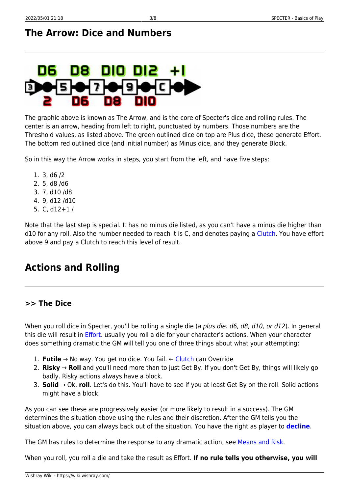# **The Arrow: Dice and Numbers**

# DIO 012 88

The graphic above is known as The Arrow, and is the core of Specter's dice and rolling rules. The center is an arrow, heading from left to right, punctuated by numbers. Those numbers are the Threshold values, as listed above. The green outlined dice on top are Plus dice, these generate Effort. The bottom red outlined dice (and initial number) as Minus dice, and they generate Block.

So in this way the Arrow works in steps, you start from the left, and have five steps:

- 1. 3, d6 /2
- 2. 5, d8 /d6
- 3. 7, d10 /d8
- 4. 9, d12 /d10
- 5. C, d12+1 /

Note that the last step is special. It has no minus die listed, as you can't have a minus die higher than d10 for any roll. Also the number needed to reach it is C, and denotes paying a [Clutch](#page-3-0). You have effort above 9 and pay a Clutch to reach this level of result.

# <span id="page-2-0"></span>**Actions and Rolling**

### <span id="page-2-1"></span>**>> The Dice**

When you roll dice in Specter, you'll be rolling a single die (a plus die: d6, d8, d10, or d12). In general this die will result in [Effort](#page-0-1). usually you roll a die for your character's actions. When your character does something dramatic the GM will tell you one of three things about what your attempting:

- 1. **Futile** → No way. You get no dice. You fail. ← [Clutch](#page-3-0) can Override
- 2. **Risky** → **Roll** and you'll need more than to just Get By. If you don't Get By, things will likely go badly. Risky actions always have a block.
- 3. **Solid** → Ok, **roll**. Let's do this. You'll have to see if you at least Get By on the roll. Solid actions might have a block.

As you can see these are progressively easier (or more likely to result in a success). The GM determines the situation above using the rules and their discretion. After the GM tells you the situation above, you can always back out of the situation. You have the right as player to **[decline](https://wiki.wishray.com/doku.php?id=specter:practice#decline)**.

The GM has rules to determine the response to any dramatic action, see [Means and Risk](https://wiki.wishray.com/doku.php?id=specter:practice#means_and_risk).

When you roll, you roll a die and take the result as Effort. **If no rule tells you otherwise, you will**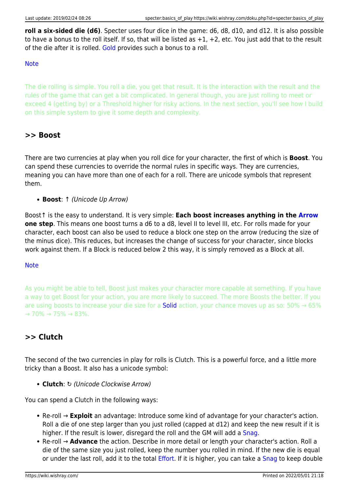roll a six-sided die (d6). Specter uses four dice in the game: d6, d8, d10, and d12. It is also possible to have a bonus to the roll itself. If so, that will be listed as +1, +2, etc. You just add that to the result of the die after it is rolled. [Gold](#page-4-1) provides such a bonus to a roll.

#### **[Note](#page--1-0)**

The die rolling is simple. You roll a die, you get that result. It is the interaction with the result and the rules of the game that can get a bit complicated. In general though, you are just rolling to meet or exceed 4 (getting by) or a Threshold higher for risky actions. In the next section, you'll see how I build on this simple system to give it some depth and complexity.

## **>> Boost**

There are two currencies at play when you roll dice for your character, the first of which is **Boost**. You can spend these currencies to override the normal rules in specific ways. They are currencies, meaning you can have more than one of each for a roll. There are unicode symbols that represent them.

**Boost**: ↑ (Unicode Up Arrow)

Boost↑ is the easy to understand. It is very simple: **Each boost increases anything in the [Arrow](#page-1-0) one step**. This means one boost turns a d6 to a d8, level II to level III, etc. For rolls made for your character, each boost can also be used to reduce a block one step on the arrow (reducing the size of the minus dice). This reduces, but increases the change of success for your character, since blocks work against them. If a Block is reduced below 2 this way, it is simply removed as a Block at all.

#### **[Note](#page--1-0)**

As you might be able to tell, Boost just makes your character more capable at something. If you have a way to get Boost for your action, you are more likely to succeed. The more Boosts the better. If you are using boosts to increase your die size for a **Solid** action, your chance moves up as so: 50%  $\rightarrow$  65%  $\rightarrow$  70%  $\rightarrow$  75%  $\rightarrow$  83%.

## <span id="page-3-0"></span>**>> Clutch**

The second of the two currencies in play for rolls is Clutch. This is a powerful force, and a little more tricky than a Boost. It also has a unicode symbol:

**Clutch**: ↻ (Unicode Clockwise Arrow)

You can spend a Clutch in the following ways:

- Re-roll → **Exploit** an advantage: Introduce some kind of advantage for your character's action. Roll a die of one step larger than you just rolled (capped at d12) and keep the new result if it is higher. If the result is lower, disregard the roll and the GM will add a [Snag](https://wiki.wishray.com/doku.php?id=specter:practice#snag).
- Re-roll → **Advance** the action. Describe in more detail or length your character's action. Roll a die of the same size you just rolled, keep the number you rolled in mind. If the new die is equal or under the last roll, add it to the total *Effort*. If it is higher, you can take a [Snag](https://wiki.wishray.com/doku.php?id=specter:practice#snag) to keep double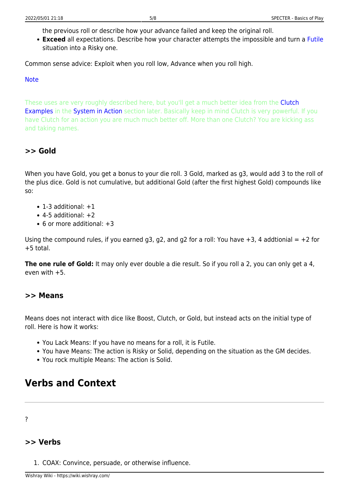the previous roll or describe how your advance failed and keep the original roll.

**Exceed** all expectations. Describe how your character attempts the impossible and turn a [Futile](#page-2-1) situation into a Risky one.

Common sense advice: Exploit when you roll low, Advance when you roll high.

#### [Note](#page--1-0)

These uses are very roughly described here, but you'll get a much better idea from the **[Clutch](#page--1-0)** [Examples](#page--1-0) in the [System in Action](#page-7-0) section later. Basically keep in mind Clutch is very powerful. If you have Clutch for an action you are much much better off. More than one Clutch? You are kicking ass and taking names.

### <span id="page-4-1"></span>**>> Gold**

When you have Gold, you get a bonus to your die roll. 3 Gold, marked as g3, would add 3 to the roll of the plus dice. Gold is not cumulative, but additional Gold (after the first highest Gold) compounds like so:

- $\bullet$  1-3 additional:  $+1$
- $\bullet$  4-5 additional:  $+2$
- 6 or more additional: +3

Using the compound rules, if you earned g3, g2, and g2 for a roll: You have  $+3$ , 4 addtionial  $= +2$  for +5 total.

**The one rule of Gold:** It may only ever double a die result. So if you roll a 2, you can only get a 4, even with +5.

#### **>> Means**

Means does not interact with dice like Boost, Clutch, or Gold, but instead acts on the initial type of roll. Here is how it works:

- You Lack Means: If you have no means for a roll, it is Futile.
- You have Means: The action is Risky or Solid, depending on the situation as the GM decides.
- You rock multiple Means: The action is Solid.

## <span id="page-4-0"></span>**Verbs and Context**

#### ?

#### <span id="page-4-2"></span>**>> Verbs**

1. COAX: Convince, persuade, or otherwise influence.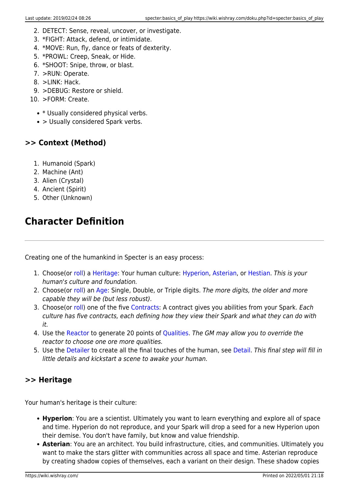- 2. DETECT: Sense, reveal, uncover, or investigate.
- 3. \*FIGHT: Attack, defend, or intimidate.
- 4. \*MOVE: Run, fly, dance or feats of dexterity.
- 5. \*PROWL: Creep, Sneak, or Hide.
- 6. \*SHOOT: Snipe, throw, or blast.
- 7. >RUN: Operate.
- 8. >LINK: Hack.
- 9. >DEBUG: Restore or shield.
- 10. >FORM: Create.
	- \* Usually considered physical verbs.
	- > Usually considered Spark verbs.

## **>> Context (Method)**

- 1. Humanoid (Spark)
- 2. Machine (Ant)
- 3. Alien (Crystal)
- 4. Ancient (Spirit)
- 5. Other (Unknown)

# <span id="page-5-0"></span>**Character Definition**

Creating one of the humankind in Specter is an easy process:

- 1. Choose(or [roll\)](https://wiki.wishray.com/doku.php?id=specter:databank#heritage) a [Heritage:](#page-5-1) Your human culture: [Hyperion](https://wiki.wishray.com/doku.php?id=specter:10k80_humankind#hyperion), [Asterian,](https://wiki.wishray.com/doku.php?id=specter:10k80_humankind#asterian) or [Hestian](https://wiki.wishray.com/doku.php?id=specter:10k80_humankind#hestian). This is your human's culture and foundation.
- 2. Choose(or [roll\)](https://wiki.wishray.com/doku.php?id=specter:databank#age) an [Age](#page-6-0): Single, Double, or Triple digits. The more digits, the older and more capable they will be (but less robust).
- 3. Choose(or [roll\)](https://wiki.wishray.com/doku.php?id=specter:databank#contract) one of the five [Contracts](#page-6-1): A contract gives you abilities from your Spark. Each culture has five contracts, each defining how they view their Spark and what they can do with it.
- 4. Use the [Reactor](https://wiki.wishray.com/doku.php?id=specter:process#reactor) to generate 20 points of [Qualities.](https://wiki.wishray.com/doku.php?id=specter:practice#quality) The GM may allow you to override the reactor to choose one ore more qualities.
- 5. Use the [Detailer](https://wiki.wishray.com/doku.php?id=specter:process#detailer) to create all the final touches of the human, see [Detail](https://wiki.wishray.com/doku.php?id=specter:practice#detail). This final step will fill in little details and kickstart a scene to awake your human.

## <span id="page-5-1"></span>**>> Heritage**

Your human's heritage is their culture:

- **Hyperion**: You are a scientist. Ultimately you want to learn everything and explore all of space and time. Hyperion do not reproduce, and your Spark will drop a seed for a new Hyperion upon their demise. You don't have family, but know and value friendship.
- **Asterian**: You are an architect. You build infrastructure, cities, and communities. Ultimately you want to make the stars glitter with communities across all space and time. Asterian reproduce by creating shadow copies of themselves, each a variant on their design. These shadow copies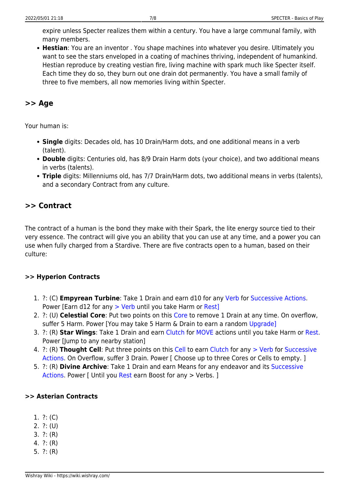expire unless Specter realizes them within a century. You have a large communal family, with many members.

**Hestian**: You are an inventor . You shape machines into whatever you desire. Ultimately you want to see the stars enveloped in a coating of machines thriving, independent of humankind. Hestian reproduce by creating vestian fire, living machine with spark much like Specter itself. Each time they do so, they burn out one drain dot permanently. You have a small family of three to five members, all now memories living within Specter.

### <span id="page-6-0"></span>**>> Age**

Your human is:

- **Single** digits: Decades old, has 10 Drain/Harm dots, and one additional means in a verb (talent).
- **Double** digits: Centuries old, has 8/9 Drain Harm dots (your choice), and two additional means in verbs (talents).
- **Triple** digits: Millenniums old, has 7/7 Drain/Harm dots, two additional means in verbs (talents), and a secondary Contract from any culture.

## <span id="page-6-1"></span>**>> Contract**

The contract of a human is the bond they make with their Spark, the lite energy source tied to their very essence. The contract will give you an ability that you can use at any time, and a power you can use when fully charged from a Stardive. There are five contracts open to a human, based on their culture:

#### **>> Hyperion Contracts**

- 1. ?: (C) **Empyrean Turbine**: Take 1 Drain and earn d10 for any [Verb](#page-4-2) for [Successive Actions.](https://wiki.wishray.com/doku.php?id=specter:practice#successive_actions) Power [Earn d12 for any [> Verb](#page-4-2) until you take Harm or [Rest\]](https://wiki.wishray.com/doku.php?id=specter:practice#rest)
- 2. ?: (U) **Celestial Core**: Put two points on this [Core](https://wiki.wishray.com/doku.php?id=specter:practice#sinks) to remove 1 Drain at any time. On overflow, suffer 5 Harm. Power [You may take 5 Harm & Drain to earn a random [Upgrade\]](https://wiki.wishray.com/doku.php?id=specter:practice#upgrade)
- 3. ?: (R) **Star Wings**: Take 1 Drain and earn [Clutch](#page-3-0) for [MOVE](#page-4-2) actions until you take Harm or [Rest](https://wiki.wishray.com/doku.php?id=specter:practice#rest). Power [Jump to any nearby station]
- 4. ?: (R) **Thought Cell**: Put three points on this [Cell](https://wiki.wishray.com/doku.php?id=specter:practice#sinks) to earn [Clutch](#page-3-0) for any [> Verb](#page-4-2) for [Successive](https://wiki.wishray.com/doku.php?id=specter:practice#successive_actions) [Actions.](https://wiki.wishray.com/doku.php?id=specter:practice#successive_actions) On Overflow, suffer 3 Drain. Power [ Choose up to three Cores or Cells to empty. ]
- 5. ?: (R) **Divine Archive**: Take 1 Drain and earn Means for any endeavor and its [Successive](https://wiki.wishray.com/doku.php?id=specter:practice#successive_actions) [Actions.](https://wiki.wishray.com/doku.php?id=specter:practice#successive_actions) Power [ Until you [Rest](https://wiki.wishray.com/doku.php?id=specter:practice#rest) earn Boost for any > Verbs. ]

#### **>> Asterian Contracts**

- 1. ?: (C)
- 2. ?: (U)
- 3. ?: (R)
- 4. ?: (R)
- 5. ?: (R)